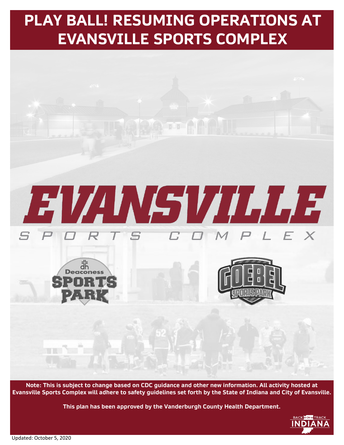

**Note: This is subject to change based on CDC guidance and other new information. All activity hosted at Evansville Sports Complex will adhere to safety guidelines set forth by the State of Indiana and City of Evansville.** 

**This plan has been approved by the Vanderburgh County Health Department.**

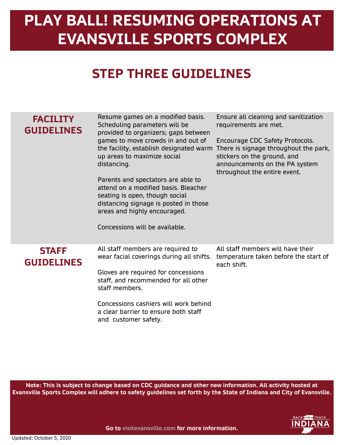### **STEP THREE GUIDELINES**

| <b>FACILITY</b><br><b>GUIDELINES</b> | Resume games on a modified basis.<br>Scheduling parameters will be<br>provided to organizers; gaps between<br>games to move crowds in and out of<br>the facility, establish designated warm<br>up areas to maximize social<br>distancing.<br>Parents and spectators are able to<br>attend on a modified basis. Bleacher<br>seating is open, though social<br>distancing signage is posted in those<br>areas and highly encouraged.<br>Concessions will be available. | Ensure all cleaning and sanitization<br>requirements are met.<br>Encourage CDC Safety Protocols.<br>There is signage throughout the park,<br>stickers on the ground, and<br>announcements on the PA system<br>throughout the entire event. |
|--------------------------------------|----------------------------------------------------------------------------------------------------------------------------------------------------------------------------------------------------------------------------------------------------------------------------------------------------------------------------------------------------------------------------------------------------------------------------------------------------------------------|--------------------------------------------------------------------------------------------------------------------------------------------------------------------------------------------------------------------------------------------|
| <b>STAFF</b><br><b>GUIDELINES</b>    | All staff members are required to<br>wear facial coverings during all shifts.<br>Gloves are required for concessions<br>staff, and recommended for all other<br>staff members.<br>Concessions cashiers will work behind<br>a clear barrier to ensure both staff<br>and customer safety.                                                                                                                                                                              | All staff members will have their<br>temperature taken before the start of<br>each shift.                                                                                                                                                  |

**Note: This is subject to change based on CDC guidance and other new information. All activity hosted at Evansville Sports Complex will adhere to safety guidelines set forth by the State of Indiana and City of Evansville.** 

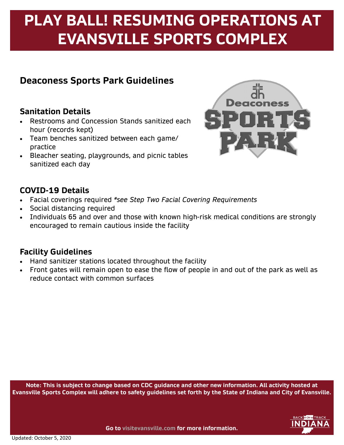### **Deaconess Sports Park Guidelines**

#### **Sanitation Details**

- Restrooms and Concession Stands sanitized each hour (records kept)
- Team benches sanitized between each game/ practice
- Bleacher seating, playgrounds, and picnic tables sanitized each day



#### **COVID-19 Details**

- Facial coverings required *\*see Step Two Facial Covering Requirements*
- Social distancing required
- Individuals 65 and over and those with known high-risk medical conditions are strongly encouraged to remain cautious inside the facility

#### **Facility Guidelines**

- Hand sanitizer stations located throughout the facility
- Front gates will remain open to ease the flow of people in and out of the park as well as reduce contact with common surfaces

**Note: This is subject to change based on CDC guidance and other new information. All activity hosted at Evansville Sports Complex will adhere to safety guidelines set forth by the State of Indiana and City of Evansville.** 

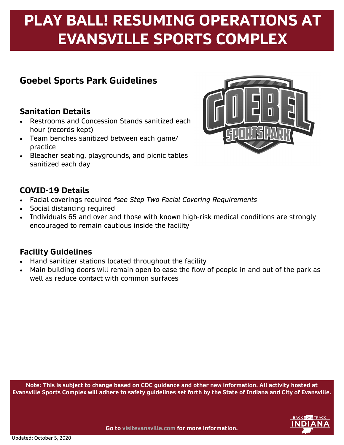### **Goebel Sports Park Guidelines**

#### **Sanitation Details**

- Restrooms and Concession Stands sanitized each hour (records kept)
- Team benches sanitized between each game/ practice
- Bleacher seating, playgrounds, and picnic tables sanitized each day



#### **COVID-19 Details**

- Facial coverings required *\*see Step Two Facial Covering Requirements*
- Social distancing required
- Individuals 65 and over and those with known high-risk medical conditions are strongly encouraged to remain cautious inside the facility

### **Facility Guidelines**

- Hand sanitizer stations located throughout the facility
- Main building doors will remain open to ease the flow of people in and out of the park as well as reduce contact with common surfaces

**Note: This is subject to change based on CDC guidance and other new information. All activity hosted at Evansville Sports Complex will adhere to safety guidelines set forth by the State of Indiana and City of Evansville.** 

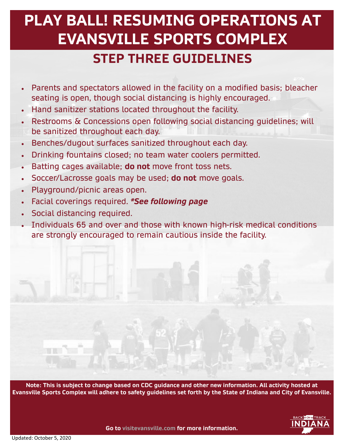### **PLAY BALL! RESUMING OPERATIONS AT EVANSVILLE SPORTS COMPLEX STEP THREE GUIDELINES**

- Parents and spectators allowed in the facility on a modified basis; bleacher seating is open, though social distancing is highly encouraged.
- Hand sanitizer stations located throughout the facility.
- Restrooms & Concessions open following social distancing guidelines; will be sanitized throughout each day.
- Benches/dugout surfaces sanitized throughout each day.
- Drinking fountains closed; no team water coolers permitted.
- Batting cages available; **do not** move front toss nets.
- Soccer/Lacrosse goals may be used; **do not** move goals.
- Playground/picnic areas open.
- Facial coverings required. *\*See following page*
- Social distancing required.
- Individuals 65 and over and those with known high-risk medical conditions are strongly encouraged to remain cautious inside the facility.

**Note: This is subject to change based on CDC guidance and other new information. All activity hosted at Evansville Sports Complex will adhere to safety guidelines set forth by the State of Indiana and City of Evansville.**